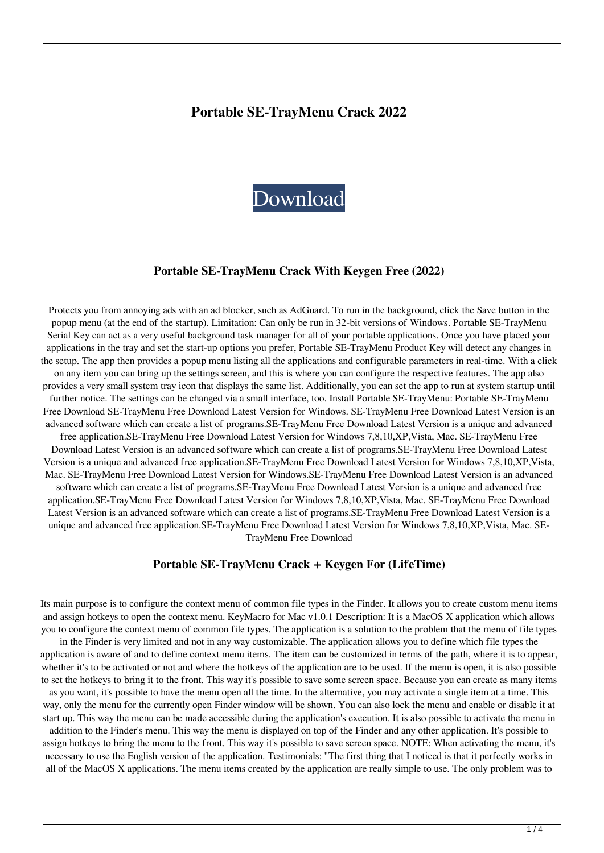### **Portable SE-TrayMenu Crack 2022**



#### **Portable SE-TrayMenu Crack With Keygen Free (2022)**

Protects you from annoying ads with an ad blocker, such as AdGuard. To run in the background, click the Save button in the popup menu (at the end of the startup). Limitation: Can only be run in 32-bit versions of Windows. Portable SE-TrayMenu Serial Key can act as a very useful background task manager for all of your portable applications. Once you have placed your applications in the tray and set the start-up options you prefer, Portable SE-TrayMenu Product Key will detect any changes in the setup. The app then provides a popup menu listing all the applications and configurable parameters in real-time. With a click on any item you can bring up the settings screen, and this is where you can configure the respective features. The app also provides a very small system tray icon that displays the same list. Additionally, you can set the app to run at system startup until further notice. The settings can be changed via a small interface, too. Install Portable SE-TrayMenu: Portable SE-TrayMenu Free Download SE-TrayMenu Free Download Latest Version for Windows. SE-TrayMenu Free Download Latest Version is an advanced software which can create a list of programs.SE-TrayMenu Free Download Latest Version is a unique and advanced free application.SE-TrayMenu Free Download Latest Version for Windows 7,8,10,XP,Vista, Mac. SE-TrayMenu Free Download Latest Version is an advanced software which can create a list of programs.SE-TrayMenu Free Download Latest Version is a unique and advanced free application.SE-TrayMenu Free Download Latest Version for Windows 7,8,10,XP,Vista, Mac. SE-TrayMenu Free Download Latest Version for Windows.SE-TrayMenu Free Download Latest Version is an advanced software which can create a list of programs.SE-TrayMenu Free Download Latest Version is a unique and advanced free application.SE-TrayMenu Free Download Latest Version for Windows 7,8,10,XP,Vista, Mac. SE-TrayMenu Free Download Latest Version is an advanced software which can create a list of programs.SE-TrayMenu Free Download Latest Version is a unique and advanced free application.SE-TrayMenu Free Download Latest Version for Windows 7,8,10,XP,Vista, Mac. SE-TrayMenu Free Download

#### **Portable SE-TrayMenu Crack + Keygen For (LifeTime)**

Its main purpose is to configure the context menu of common file types in the Finder. It allows you to create custom menu items and assign hotkeys to open the context menu. KeyMacro for Mac v1.0.1 Description: It is a MacOS X application which allows you to configure the context menu of common file types. The application is a solution to the problem that the menu of file types in the Finder is very limited and not in any way customizable. The application allows you to define which file types the

application is aware of and to define context menu items. The item can be customized in terms of the path, where it is to appear, whether it's to be activated or not and where the hotkeys of the application are to be used. If the menu is open, it is also possible to set the hotkeys to bring it to the front. This way it's possible to save some screen space. Because you can create as many items

as you want, it's possible to have the menu open all the time. In the alternative, you may activate a single item at a time. This way, only the menu for the currently open Finder window will be shown. You can also lock the menu and enable or disable it at start up. This way the menu can be made accessible during the application's execution. It is also possible to activate the menu in

addition to the Finder's menu. This way the menu is displayed on top of the Finder and any other application. It's possible to assign hotkeys to bring the menu to the front. This way it's possible to save screen space. NOTE: When activating the menu, it's necessary to use the English version of the application. Testimonials: "The first thing that I noticed is that it perfectly works in all of the MacOS X applications. The menu items created by the application are really simple to use. The only problem was to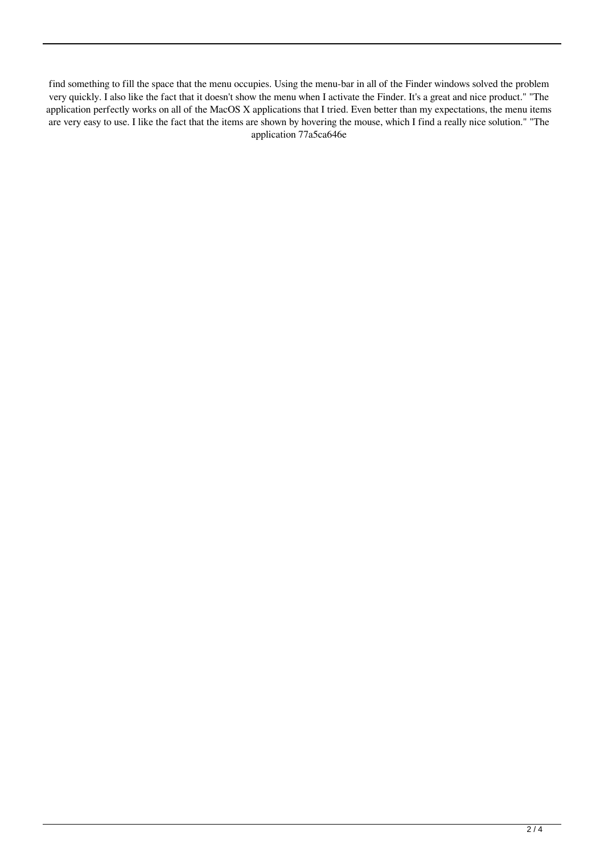find something to fill the space that the menu occupies. Using the menu-bar in all of the Finder windows solved the problem very quickly. I also like the fact that it doesn't show the menu when I activate the Finder. It's a great and nice product." "The application perfectly works on all of the MacOS X applications that I tried. Even better than my expectations, the menu items are very easy to use. I like the fact that the items are shown by hovering the mouse, which I find a really nice solution." "The application 77a5ca646e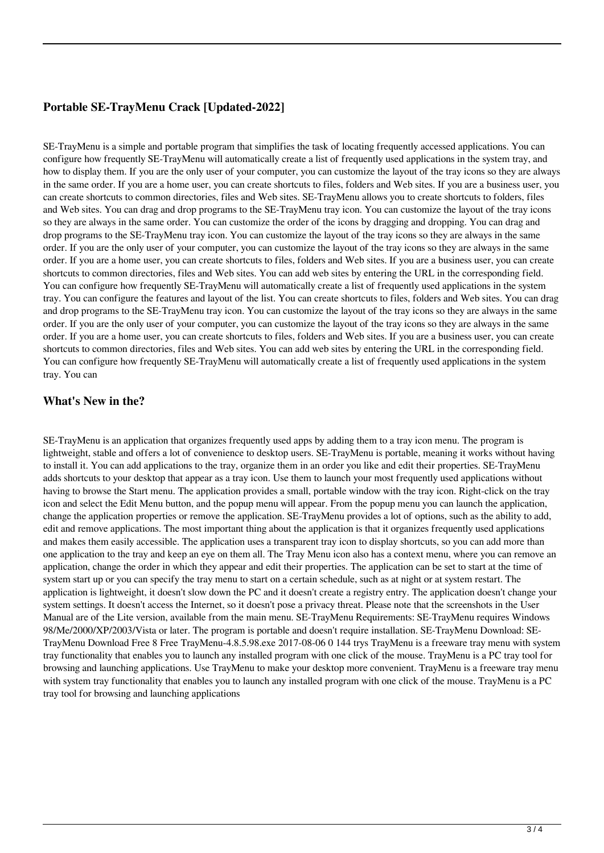# **Portable SE-TrayMenu Crack [Updated-2022]**

SE-TrayMenu is a simple and portable program that simplifies the task of locating frequently accessed applications. You can configure how frequently SE-TrayMenu will automatically create a list of frequently used applications in the system tray, and how to display them. If you are the only user of your computer, you can customize the layout of the tray icons so they are always in the same order. If you are a home user, you can create shortcuts to files, folders and Web sites. If you are a business user, you can create shortcuts to common directories, files and Web sites. SE-TrayMenu allows you to create shortcuts to folders, files and Web sites. You can drag and drop programs to the SE-TrayMenu tray icon. You can customize the layout of the tray icons so they are always in the same order. You can customize the order of the icons by dragging and dropping. You can drag and drop programs to the SE-TrayMenu tray icon. You can customize the layout of the tray icons so they are always in the same order. If you are the only user of your computer, you can customize the layout of the tray icons so they are always in the same order. If you are a home user, you can create shortcuts to files, folders and Web sites. If you are a business user, you can create shortcuts to common directories, files and Web sites. You can add web sites by entering the URL in the corresponding field. You can configure how frequently SE-TrayMenu will automatically create a list of frequently used applications in the system tray. You can configure the features and layout of the list. You can create shortcuts to files, folders and Web sites. You can drag and drop programs to the SE-TrayMenu tray icon. You can customize the layout of the tray icons so they are always in the same order. If you are the only user of your computer, you can customize the layout of the tray icons so they are always in the same order. If you are a home user, you can create shortcuts to files, folders and Web sites. If you are a business user, you can create shortcuts to common directories, files and Web sites. You can add web sites by entering the URL in the corresponding field. You can configure how frequently SE-TrayMenu will automatically create a list of frequently used applications in the system tray. You can

## **What's New in the?**

SE-TrayMenu is an application that organizes frequently used apps by adding them to a tray icon menu. The program is lightweight, stable and offers a lot of convenience to desktop users. SE-TrayMenu is portable, meaning it works without having to install it. You can add applications to the tray, organize them in an order you like and edit their properties. SE-TrayMenu adds shortcuts to your desktop that appear as a tray icon. Use them to launch your most frequently used applications without having to browse the Start menu. The application provides a small, portable window with the tray icon. Right-click on the tray icon and select the Edit Menu button, and the popup menu will appear. From the popup menu you can launch the application, change the application properties or remove the application. SE-TrayMenu provides a lot of options, such as the ability to add, edit and remove applications. The most important thing about the application is that it organizes frequently used applications and makes them easily accessible. The application uses a transparent tray icon to display shortcuts, so you can add more than one application to the tray and keep an eye on them all. The Tray Menu icon also has a context menu, where you can remove an application, change the order in which they appear and edit their properties. The application can be set to start at the time of system start up or you can specify the tray menu to start on a certain schedule, such as at night or at system restart. The application is lightweight, it doesn't slow down the PC and it doesn't create a registry entry. The application doesn't change your system settings. It doesn't access the Internet, so it doesn't pose a privacy threat. Please note that the screenshots in the User Manual are of the Lite version, available from the main menu. SE-TrayMenu Requirements: SE-TrayMenu requires Windows 98/Me/2000/XP/2003/Vista or later. The program is portable and doesn't require installation. SE-TrayMenu Download: SE-TrayMenu Download Free 8 Free TrayMenu-4.8.5.98.exe 2017-08-06 0 144 trys TrayMenu is a freeware tray menu with system tray functionality that enables you to launch any installed program with one click of the mouse. TrayMenu is a PC tray tool for browsing and launching applications. Use TrayMenu to make your desktop more convenient. TrayMenu is a freeware tray menu with system tray functionality that enables you to launch any installed program with one click of the mouse. TrayMenu is a PC tray tool for browsing and launching applications